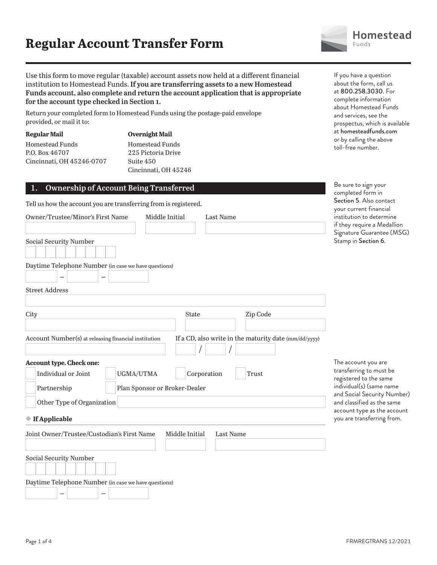

Use this form to move regular (taxable) account assets now held at a different financial institution to Homestead Funds. **If you are transferring assets to a new Homestead Funds account, also complete and return the account application that is appropriate for the account type checked in Section 1.**

Return your completed form to Homestead Funds using the postage-paid envelope provided, or mail it to:

| Regular Mail              |
|---------------------------|
| <b>Homestead Funds</b>    |
| P.O. Box 46707            |
| Cincinnati, OH 45246-0707 |
|                           |

**Overnight Mail** Homestead Funds 225 Pictoria Drive Suite 450 Cincinnati, OH 45246

#### **1. Ownership of Account Being Transferred**

Tell us how the account you are transferring from is registered.

| Owner/Trustee/Minor's First Name                     | Middle Initial                | Last Name   |                                                       |
|------------------------------------------------------|-------------------------------|-------------|-------------------------------------------------------|
|                                                      |                               |             |                                                       |
| Social Security Number                               |                               |             |                                                       |
| Daytime Telephone Number (in case we have questions) |                               |             |                                                       |
| <b>Street Address</b>                                |                               |             |                                                       |
|                                                      | <b>State</b>                  |             |                                                       |
| City                                                 |                               |             | Zip Code                                              |
| Account Number(s) at releasing financial institution |                               |             | If a CD, also write in the maturity date (mm/dd/yyyy) |
| Account type. Check one:<br>Individual or Joint      | UGMA/UTMA                     | Corporation | Trust                                                 |
| Partnership                                          | Plan Sponsor or Broker-Dealer |             |                                                       |
| Other Type of Organization                           |                               |             |                                                       |
| ◆ If Applicable                                      |                               |             |                                                       |
| Joint Owner/Trustee/Custodian's First Name           | Middle Initial                | Last Name   |                                                       |
| Social Security Number                               |                               |             |                                                       |
| Daytime Telephone Number (in case we have questions) |                               |             |                                                       |

If you have a question about the form, call us at 800.258.3030. For complete information about Homestead Funds and services, see the prospectus, which is available at homesteadfunds.com or by calling the above toll-free number.

Be sure to sign your completed form in Section 5. Also contact your current financial itution to determine ey require a Medallion ature Guarantee (MSG) np in Section 6.

account you are sferring to must be stered to the same individual(s) (same name Social Security Number) classified as the same ount type as the account are transferring from.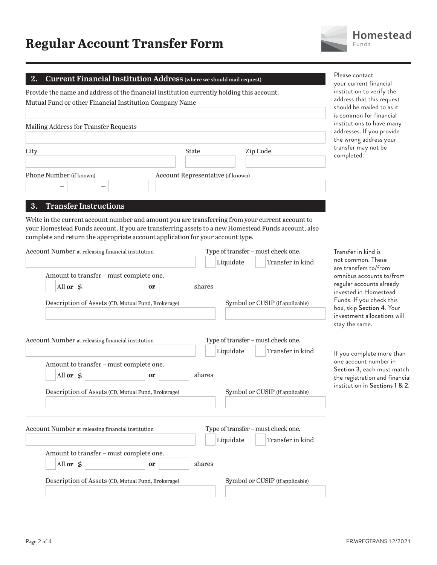#### **2. Current Financial Institution Address (where we should mail request)**



Provide the name and address of the financial institution currently holding this account. Mutual Fund or other Financial Institution Company Name

| Mailing Address for Transfer Requests |                                   |          |  |
|---------------------------------------|-----------------------------------|----------|--|
| City                                  | State                             | Zip Code |  |
| Phone Number (if known)<br>_          | Account Representative (if known) |          |  |

#### **3. Transfer Instructions**

Write in the current account number and amount you are transferring from your current account to your Homestead Funds account. If you are transferring assets to a new Homestead Funds account, also complete and return the appropriate account application for your account type.

| Account Number at releasing financial institution  |           | Type of transfer - must check one. |  |  |
|----------------------------------------------------|-----------|------------------------------------|--|--|
|                                                    |           | Liquidate<br>Transfer in kind      |  |  |
| Amount to transfer - must complete one.            |           |                                    |  |  |
| All or \$                                          | <b>or</b> | shares                             |  |  |
| Description of Assets (CD, Mutual Fund, Brokerage) |           | Symbol or CUSIP (if applicable)    |  |  |
| Account Number at releasing financial institution  |           | Type of transfer - must check one. |  |  |
|                                                    |           | Liquidate<br>Transfer in kind      |  |  |
| Amount to transfer - must complete one.            |           |                                    |  |  |
| All or \$                                          | or        | shares                             |  |  |
| Description of Assets (CD, Mutual Fund, Brokerage) |           | Symbol or CUSIP (if applicable)    |  |  |
| Account Number at releasing financial institution  |           | Type of transfer - must check one. |  |  |
|                                                    |           | Liquidate<br>Transfer in kind      |  |  |
| Amount to transfer - must complete one.            |           |                                    |  |  |
| All or \$                                          | <b>or</b> | shares                             |  |  |
| Description of Assets (CD, Mutual Fund, Brokerage) |           | Symbol or CUSIP (if applicable)    |  |  |

your current financial institution to verify the

Please contact

address that this request should be mailed to as it is common for financial institutions to have many addresses. If you provide the wrong address your transfer may not be completed.

Transfer in kind is not common. These are transfers to/from omnibus accounts to/from regular accounts already invested in Homestead Funds. If you check this box, skip Section 4. Your investment allocations will stay the same.

If you complete more than one account number in Section 3, each must match the registration and financial institution in Sections 1 & 2.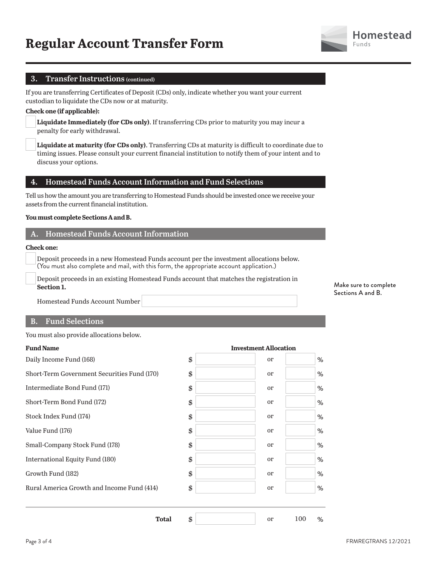#### **3. Transfer Instructions (continued)**

If you are transferring Certificates of Deposit (CDs) only, indicate whether you want your current custodian to liquidate the CDs now or at maturity.

#### **Check one (if applicable):**

**Liquidate Immediately (for CDs only)**. If transferring CDs prior to maturity you may incur a penalty for early withdrawal.

**Liquidate at maturity (for CDs only)**. Transferring CDs at maturity is difficult to coordinate due to timing issues. Please consult your current financial institution to notify them of your intent and to discuss your options.

### **4. Homestead Funds Account Information and Fund Selections**

Tell us how the amount you are transferring to Homestead Funds should be invested once we receive your assets from the current financial institution.

#### **You must complete Sections A and B.**

#### **A. Homestead Funds Account Information**

#### **Check one:**

 Deposit proceeds in a new Homestead Funds account per the investment allocations below. (You must also complete and mail, with this form, the appropriate account application.)

 Deposit proceeds in an existing Homestead Funds account that matches the registration in **Section 1.**

**Fund Name Investment Allocation**

Homestead Funds Account Number

#### **B. Fund Selections**

You must also provide allocations below.

| 111vesti11e11e71110eae1011 |          |
|----------------------------|----------|
| \$<br>or                   | %        |
| \$<br><sub>or</sub>        | %        |
| \$<br><sub>or</sub>        | $\%$     |
| \$<br>or                   | %        |
| \$<br>or                   | %        |
| \$<br>or                   | %        |
| \$<br>or                   | %        |
| \$<br>or                   | %        |
| \$<br>or                   | $\%$     |
| \$<br><sub>or</sub>        | %        |
| \$<br><b>or</b>            | 100<br>% |
|                            |          |

Make sure to complete Sections A and B.